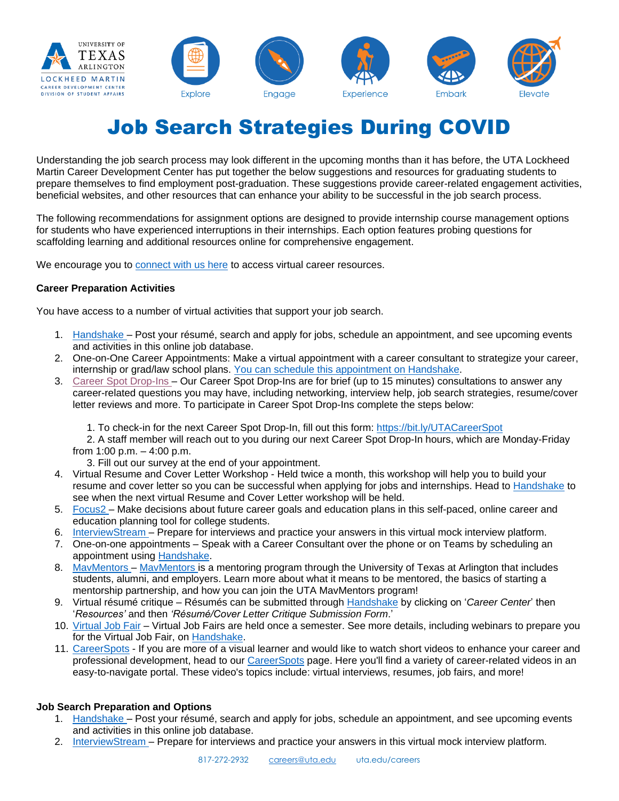

# Job Search Strategies During COVID

Understanding the job search process may look different in the upcoming months than it has before, the UTA Lockheed Martin Career Development Center has put together the below suggestions and resources for graduating students to prepare themselves to find employment post-graduation. These suggestions provide career-related engagement activities, beneficial websites, and other resources that can enhance your ability to be successful in the job search process.

The following recommendations for assignment options are designed to provide internship course management options for students who have experienced interruptions in their internships. Each option features probing questions for scaffolding learning and additional resources online for comprehensive engagement.

We encourage you to [connect with us](https://www.uta.edu/careers/students/Virtual%20Services.php) here to access virtual career resources.

## **Career Preparation Activities**

You have access to a number of virtual activities that support your job search.

- 1. [Handshake](https://uta.joinhandshake.com/) Post your résumé, search and apply for jobs, schedule an appointment, and see upcoming events and activities in this online job database.
- 2. One-on-One Career Appointments: Make a virtual appointment with a career consultant to strategize your career, internship or grad/law school plans. [You can schedule this appointment on Handshake.](https://uta.joinhandshake.com/)
- 3. Career Spot [Drop-Ins](https://forms.office.com/Pages/ResponsePage.aspx?id=Q1vcXL7XqkyBc3KeOwpi2cU0cqI_tKhAsAcPXdgpSK9UNjJTWVRJOEdHSTJXSzNJODNYMjUyRFJGTy4u) Our Career Spot Drop-Ins are for brief (up to 15 minutes) consultations to answer any career-related questions you may have, including networking, interview help, job search strategies, resume/cover letter reviews and more. To participate in Career Spot Drop-Ins complete the steps below:
	- 1. To check-in for the next Career Spot Drop-In, fill out this form: <https://bit.ly/UTACareerSpot>
	- 2. A staff member will reach out to you during our next Career Spot Drop-In hours, which are Monday-Friday from 1:00 p.m. – 4:00 p.m.
		- 3. Fill out our survey at the end of your appointment.
- 4. Virtual Resume and Cover Letter Workshop Held twice a month, this workshop will help you to build your resume and cover letter so you can be successful when applying for jobs and internships. Head to [Handshake](https://uta.joinhandshake.com/) to see when the next virtual Resume and Cover Letter workshop will be held.
- 5. [Focus2](https://www.uta.edu/careers/students/resources.php) Make decisions about future career goals and education plans in this self-paced, online career and education planning tool for college students.
- 6. [InterviewStream](https://www.uta.edu/careers/students/resources.php) Prepare for interviews and practice your answers in this virtual mock interview platform.
- 7. One-on-one appointments Speak with a Career Consultant over the phone or on Teams by scheduling an appointment using [Handshake.](https://uta.joinhandshake.com/)
- 8. [MavMentors](https://mentor.uta.edu/) MavMentors is a mentoring program through the University of Texas at Arlington that includes students, alumni, and employers. Learn more about what it means to be mentored, the basics of starting a mentorship partnership, and how you can join the UTA MavMentors program!
- 9. Virtual résumé critique Résumés can be submitted through [Handshake](https://uta.joinhandshake.com/) by clicking on '*Career Center*' then '*Resources'* and then *'Résumé/Cover Letter Critique Submission Form*.'
- 10. [Virtual Job Fair](https://utajobfair.vfairs.com/) Virtual Job Fairs are held once a semester. See more details, including webinars to prepare you for the Virtual Job Fair, on [Handshake.](https://uta.joinhandshake.com/)
- 11. [CareerSpots](http://www.careerspots.com/newplayer/default.aspx?key=pJEOPf85B8GZg5YafpYwDw2&pref=https://www.uta.edu/careers/students/resume/index.php&src=IndividualVideo&) If you are more of a visual learner and would like to watch short videos to enhance your career and professional development, head to our [CareerSpots](http://www.careerspots.com/newplayer/default.aspx?key=pJEOPf85B8GZg5YafpYwDw2&pref=https://www.uta.edu/careers/students/resume/index.php&src=IndividualVideo&) page. Here you'll find a variety of career-related videos in an easy-to-navigate portal. These video's topics include: virtual interviews, resumes, job fairs, and more!

# **Job Search Preparation and Options**

- 1. [Handshake](https://uta.joinhandshake.com/) Post your résumé, search and apply for jobs, schedule an appointment, and see upcoming events and activities in this online job database.
- 2. [InterviewStream](https://www.uta.edu/careers/students/resources.php) Prepare for interviews and practice your answers in this virtual mock interview platform.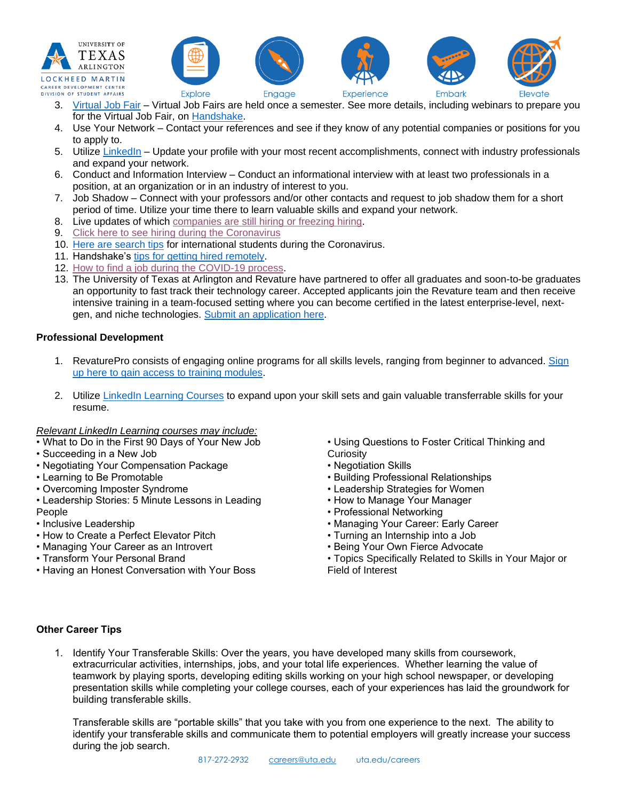



- 3. [Virtual Job Fair](https://utajobfair.vfairs.com/) Virtual Job Fairs are held once a semester. See more details, including webinars to prepare you for the Virtual Job Fair, on [Handshake.](https://uta.joinhandshake.com/)
- 4. Use Your Network Contact your references and see if they know of any potential companies or positions for you to apply to.
- 5. Utilize [LinkedIn](https://linkedin.com/) Update your profile with your most recent accomplishments, connect with industry professionals and expand your network.
- 6. Conduct and Information Interview Conduct an informational interview with at least two professionals in a position, at an organization or in an industry of interest to you.
- 7. Job Shadow Connect with your professors and/or other contacts and request to job shadow them for a short period of time. Utilize your time there to learn valuable skills and expand your network.
- 8. Live updates of which [companies are still hiring or freezing hiring.](https://candor.co/hiring-freezes/)
- 9. [Click here to see hiring during the Coronavirus](https://www.themuse.com/advice/companies-hiring-during-coronavirus-covid-19?utm_source=facebook&utm_medium=social&utm_campaign=roundup_march2020&utm_content=advice&fbclid=IwAR1xdpjNCHuukRcRw5M-00VM7OgjZ6nYcK9LRUxShrWYCD8syHmJiQuWarQ)
- 10. [Here are search tips](https://www.vault.com/blogs/international-students/job-search-tips-for-international-students-in-the-age-of-coronavirus#.Xnp0qNmBVlg.facebook) for international students during the Coronavirus.
- 11. Handshake's [tips for getting hired remotely.](https://learn.joinhandshake.com/students/category/get-hired-remotely/)
- 12. [How to find a job during the COVID-19 process.](https://www.fastcompany.com/90482657/how-you-can-find-a-job-during-the-covid-19-crisis)
- 13. The University of Texas at Arlington and Revature have partnered to offer all graduates and soon-to-be graduates an opportunity to fast track their technology career. Accepted applicants join the Revature team and then receive intensive training in a team-focused setting where you can become certified in the latest enterprise-level, nextgen, and niche technologies. [Submit an application here.](https://revature.com/uta/)

## **Professional Development**

- 1. RevaturePro consists of engaging online programs for all skills levels, ranging from beginner to advanced. [Sign](https://revature.com/signup/)  [up here to gain access to training modules.](https://revature.com/signup/)
- 2. Utilize [LinkedIn Learning Courses](https://www.linkedin.com/learning/me) to expand upon your skill sets and gain valuable transferrable skills for your resume.

#### *Relevant LinkedIn Learning courses may include:*

- What to Do in the First 90 Days of Your New Job
- Succeeding in a New Job
- Negotiating Your Compensation Package
- Learning to Be Promotable
- Overcoming Imposter Syndrome
- Leadership Stories: 5 Minute Lessons in Leading
- People
- Inclusive Leadership
- How to Create a Perfect Elevator Pitch
- Managing Your Career as an Introvert
- Transform Your Personal Brand
- Having an Honest Conversation with Your Boss

• Using Questions to Foster Critical Thinking and **Curiosity** 

Flevate

- Negotiation Skills
- Building Professional Relationships
- Leadership Strategies for Women
- How to Manage Your Manager
- Professional Networking
- Managing Your Career: Early Career
- Turning an Internship into a Job
- Being Your Own Fierce Advocate
- Topics Specifically Related to Skills in Your Major or Field of Interest

# **Other Career Tips**

1. Identify Your Transferable Skills: Over the years, you have developed many skills from coursework, extracurricular activities, internships, jobs, and your total life experiences. Whether learning the value of teamwork by playing sports, developing editing skills working on your high school newspaper, or developing presentation skills while completing your college courses, each of your experiences has laid the groundwork for building transferable skills.

Transferable skills are "portable skills" that you take with you from one experience to the next. The ability to identify your transferable skills and communicate them to potential employers will greatly increase your success during the job search.